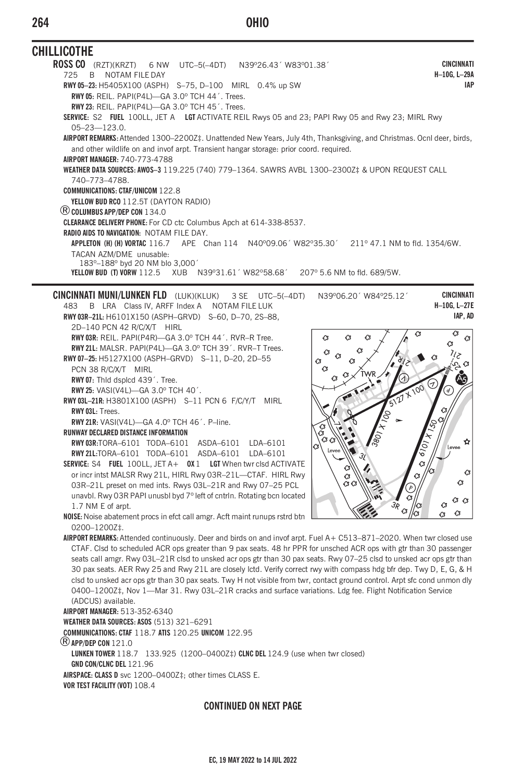# OHIO

| <b>CHILLICOTHE</b>                                                                                                                                                                                                                      |                                              |
|-----------------------------------------------------------------------------------------------------------------------------------------------------------------------------------------------------------------------------------------|----------------------------------------------|
| ROSS CO (RZT)(KRZT)<br>6 NW UTC-5(-4DT)<br>N39°26.43' W83°01.38'                                                                                                                                                                        | CINCINNATI                                   |
| 725<br>NOTAM FILE DAY<br>B                                                                                                                                                                                                              | H-10G, L-29A                                 |
| RWY 05-23: H5405X100 (ASPH) S-75, D-100 MIRL 0.4% up SW                                                                                                                                                                                 | <b>IAP</b>                                   |
| RWY 05: REIL. PAPI(P4L)-GA 3.0° TCH 44'. Trees.                                                                                                                                                                                         |                                              |
| RWY 23: REIL. PAPI(P4L)-GA 3.0° TCH 45'. Trees.                                                                                                                                                                                         |                                              |
| SERVICE: S2 FUEL 100LL, JET A LGT ACTIVATE REIL Rwys 05 and 23; PAPI Rwy 05 and Rwy 23; MIRL Rwy                                                                                                                                        |                                              |
| $05 - 23 - 123.0.$                                                                                                                                                                                                                      |                                              |
| AIRPORT REMARKS: Attended 1300-2200Z‡. Unattended New Years, July 4th, Thanksgiving, and Christmas. Ocnl deer, birds,                                                                                                                   |                                              |
| and other wildlife on and invof arpt. Transient hangar storage: prior coord. required.                                                                                                                                                  |                                              |
| AIRPORT MANAGER: 740-773-4788                                                                                                                                                                                                           |                                              |
| WEATHER DATA SOURCES: AWOS-3 119.225 (740) 779-1364. SAWRS AVBL 1300-2300Z‡ & UPON REQUEST CALL                                                                                                                                         |                                              |
| 740-773-4788.<br><b>COMMUNICATIONS: CTAF/UNICOM 122.8</b>                                                                                                                                                                               |                                              |
| YELLOW BUD RCO 112.5T (DAYTON RADIO)                                                                                                                                                                                                    |                                              |
| <b>(B) COLUMBUS APP/DEP CON 134.0</b>                                                                                                                                                                                                   |                                              |
| CLEARANCE DELIVERY PHONE: For CD ctc Columbus Apch at 614-338-8537.                                                                                                                                                                     |                                              |
| <b>RADIO AIDS TO NAVIGATION: NOTAM FILE DAY.</b>                                                                                                                                                                                        |                                              |
| APE Chan 114 N40°09.06' W82°35.30'<br>APPLETON (H) (H) VORTAC 116.7                                                                                                                                                                     | 211° 47.1 NM to fld. 1354/6W.                |
| TACAN AZM/DME unusable:                                                                                                                                                                                                                 |                                              |
| 183°-188° byd 20 NM blo 3,000'                                                                                                                                                                                                          |                                              |
| YELLOW BUD (T) VORW 112.5 XUB  N39º31.61' W82º58.68'<br>207° 5.6 NM to fld. 689/5W.                                                                                                                                                     |                                              |
| <b>CINCINNATI MUNI/LUNKEN FLD</b> (LUK)(KLUK)<br>3 SE UTC-5(-4DT)<br>N39°06.20' W84°25.12'                                                                                                                                              | <b>CINCINNATI</b><br>H-10G, L-27E            |
| B LRA Class IV, ARFF Index A NOTAM FILE LUK<br>483<br>RWY 03R-21L: H6101X150 (ASPH-GRVD) S-60, D-70, 2S-88,                                                                                                                             | IAP, AD                                      |
| 2D-140 PCN 42 R/C/X/T HIRL                                                                                                                                                                                                              |                                              |
| RWY 03R: REIL. PAPI(P4R)-GA 3.0° TCH 44'. RVR-R Tree.<br><b>G</b><br><b>G</b>                                                                                                                                                           | $\overline{a}$<br>Q,                         |
| RWY 21L: MALSR. PAPI(P4L)-GA 3.0° TCH 39'. RVR-T Trees.                                                                                                                                                                                 | Ĉ3                                           |
| RWY 07-25: H5127X100 (ASPH-GRVD) S-11, D-20, 2D-55<br>C3                                                                                                                                                                                | 7טן                                          |
| PCN 38 R/C/X/T MIRL<br>OЗ                                                                                                                                                                                                               | তে গু                                        |
| RWY 07: Thid dsplcd 439'. Tree.                                                                                                                                                                                                         | Ά5                                           |
| <b>RWY 25: VASI(V4L)-GA 3.0° TCH 40'.</b>                                                                                                                                                                                               | (1<br>5127 X 100<br>$\overline{d}$           |
| RWY 03L-21R: H3801X100 (ASPH) S-11 PCN 6 F/C/Y/T MIRL                                                                                                                                                                                   |                                              |
| RWY 03L: Trees.<br>$\delta_{Q_\ell}$                                                                                                                                                                                                    |                                              |
| RWY 21R: VASI(V4L)-GA 4.0° TCH 46'. P-line.                                                                                                                                                                                             |                                              |
| e<br>C<br>RUNWAY DECLARED DISTANCE INFORMATION<br>380                                                                                                                                                                                   |                                              |
| $\alpha$<br>RWY03R:TORA-6101 TODA-6101 ASDA-6101 LDA-6101<br>Ò                                                                                                                                                                          | ✿<br>Levee                                   |
| Levee<br>RWY 21L:TORA-6101 TODA-6101 ASDA-6101 LDA-6101<br>31                                                                                                                                                                           | $6101 + 150$                                 |
| SERVICE: S4 FUEL 100LL, JET A+ 0X 1 LGT When twr clsd ACTIVATE                                                                                                                                                                          | Ø<br>kз                                      |
| or incr intst MALSR Rwy 21L, HIRL Rwy 03R-21L-CTAF. HIRL Rwy<br>Ġ                                                                                                                                                                       | c<br><b>C</b><br>a                           |
| $\alpha$<br>03R-21L preset on med ints. Rwys 03L-21R and Rwy 07-25 PCL                                                                                                                                                                  | $\left[ \rho \right]$                        |
| unavbl. Rwy 03R PAPI unusbl byd 7° left of cntrln. Rotating bcn located                                                                                                                                                                 | <b>C</b><br>C3C3                             |
| 36<br>1.7 NM E of arpt.                                                                                                                                                                                                                 | O,<br>lЗ<br>G<br>lоз<br><b>G</b><br><b>Q</b> |
| NOISE: Noise abatement procs in efct call amgr. Acft maint runups rstrd btn                                                                                                                                                             |                                              |
| 0200-1200Z‡.                                                                                                                                                                                                                            |                                              |
| AIRPORT REMARKS: Attended continuously. Deer and birds on and invof arpt. Fuel A+ C513-871-2020. When twr closed use                                                                                                                    |                                              |
| CTAF. Clsd to scheduled ACR ops greater than 9 pax seats. 48 hr PPR for unsched ACR ops with gtr than 30 passenger                                                                                                                      |                                              |
| seats call amgr. Rwy 03L-21R clsd to unsked acrops gtr than 30 pax seats. Rwy 07-25 clsd to unsked acrops gtr than                                                                                                                      |                                              |
| 30 pax seats. AER Rwy 25 and Rwy 21L are closely lctd. Verify correct rwy with compass hdg bfr dep. Twy D, E, G, & H                                                                                                                    |                                              |
| clsd to unsked acr ops gtr than 30 pax seats. Twy H not visible from twr, contact ground control. Arpt sfc cond unmon dly<br>0400-1200Z‡, Nov 1-Mar 31. Rwy 03L-21R cracks and surface variations. Ldg fee. Flight Notification Service |                                              |
|                                                                                                                                                                                                                                         |                                              |

(ADCUS) available. AIRPORT MANAGER: 513-352-6340 **WEATHER DATA SOURCES: ASOS (513) 321-6291** COMMUNICATIONS: CTAF 118.7 ATIS 120.25 UNICOM 122.95  $\textcircled{R}$  APP/DEP CON 121.0 LUNKEN TOWER 118.7 133.925 (1200-0400Z#) CLNC DEL 124.9 (use when twr closed) GND CON/CLNC DEL 121.96 AIRSPACE: CLASS D svc 1200-0400Z‡; other times CLASS E. VOR TEST FACILITY (VOT) 108.4

# **CONTINUED ON NEXT PAGE**